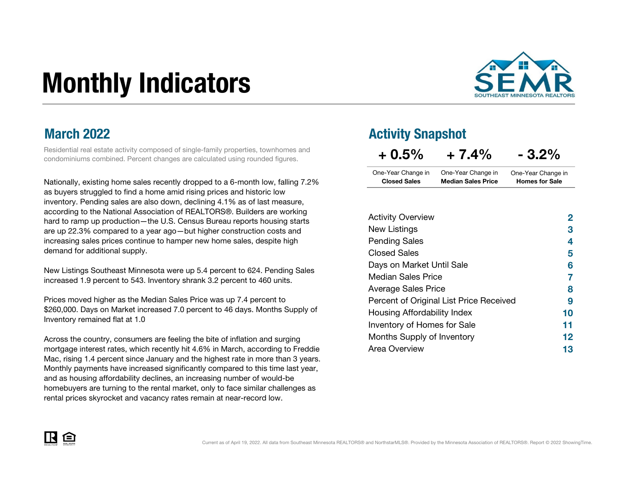# Monthly Indicators



#### March 2022

Residential real estate activity composed of single-family properties, townhomes and condominiums combined. Percent changes are calculated using rounded figures.

Nationally, existing home sales recently dropped to a 6-month low, falling 7.2% as buyers struggled to find a home amid rising prices and historic low inventory. Pending sales are also down, declining 4.1% as of last measure, according to the National Association of REALTORS®. Builders are working hard to ramp up production—the U.S. Census Bureau reports housing starts are up 22.3% compared to a year ago—but higher construction costs and increasing sales prices continue to hamper new home sales, despite high demand for additional supply.

New Listings Southeast Minnesota were up 5.4 percent to 624. Pending Sales increased 1.9 percent to 543. Inventory shrank 3.2 percent to 460 units.

Prices moved higher as the Median Sales Price was up 7.4 percent to \$260,000. Days on Market increased 7.0 percent to 46 days. Months Supply of Inventory remained flat at 1.0

Across the country, consumers are feeling the bite of inflation and surging mortgage interest rates, which recently hit 4.6% in March, according to Freddie Mac, rising 1.4 percent since January and the highest rate in more than 3 years. Monthly payments have increased significantly compared to this time last year, and as housing affordability declines, an increasing number of would-be homebuyers are turning to the rental market, only to face similar challenges as rental prices skyrocket and vacancy rates remain at near-record low.

#### Activity Snapshot

| $+0.5%$             | $+7.4%$                   | $-3.2%$               |
|---------------------|---------------------------|-----------------------|
| One-Year Change in  | One-Year Change in        | One-Year Change in    |
| <b>Closed Sales</b> | <b>Median Sales Price</b> | <b>Homes for Sale</b> |

| <b>Activity Overview</b>                | 2  |
|-----------------------------------------|----|
| New Listings                            | 3  |
| <b>Pending Sales</b>                    | 4  |
| <b>Closed Sales</b>                     | 5  |
| Days on Market Until Sale               | 6  |
| Median Sales Price                      | 7  |
| <b>Average Sales Price</b>              | 8  |
| Percent of Original List Price Received | 9  |
| Housing Affordability Index             | 10 |
| Inventory of Homes for Sale             | 11 |
| Months Supply of Inventory              | 12 |
| Area Overview                           | 13 |

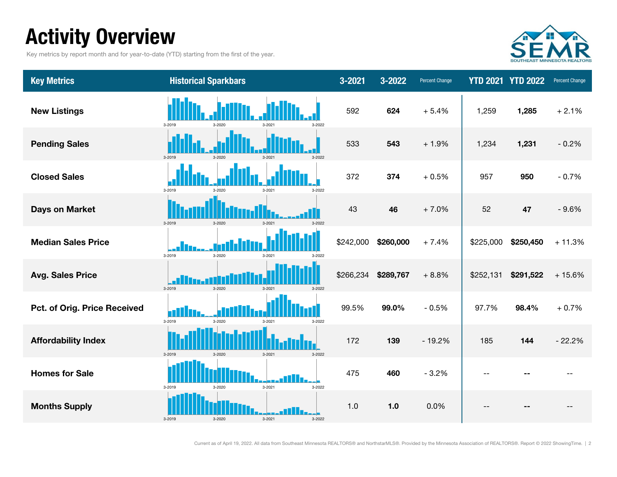# Activity Overview

Key metrics by report month and for year-to-date (YTD) starting from the first of the year.



| <b>Key Metrics</b>           | <b>Historical Sparkbars</b>                           | 3-2021    | 3-2022    | <b>Percent Change</b> |           | <b>YTD 2021 YTD 2022</b> | Percent Change |
|------------------------------|-------------------------------------------------------|-----------|-----------|-----------------------|-----------|--------------------------|----------------|
| <b>New Listings</b>          | 3-2019<br>3-2022<br>3-2020<br>3-2021                  | 592       | 624       | $+5.4%$               | 1,259     | 1,285                    | $+2.1%$        |
| <b>Pending Sales</b>         | 3-2019<br>3-2022<br>$3 - 2020$                        | 533       | 543       | $+1.9%$               | 1,234     | 1,231                    | $-0.2%$        |
| <b>Closed Sales</b>          | 3-2019<br>$3 - 2020$<br>3-2021<br>3-2022              | 372       | 374       | $+0.5%$               | 957       | 950                      | $-0.7%$        |
| <b>Days on Market</b>        | 3-2019<br>3-2020<br>3-2021<br>3-2022                  | 43        | 46        | $+7.0%$               | 52        | 47                       | $-9.6%$        |
| <b>Median Sales Price</b>    | 3-2019<br>3-2020<br>3-2021<br>3-2022                  | \$242,000 | \$260,000 | $+7.4%$               | \$225,000 | \$250,450                | $+11.3%$       |
| <b>Avg. Sales Price</b>      | 3-2019<br>3-2020<br>3-2021<br>3-2022                  | \$266,234 | \$289,767 | $+8.8%$               | \$252,131 | \$291,522                | $+15.6%$       |
| Pct. of Orig. Price Received | <u>allin.</u><br>3-2019<br>3-2022<br>3-2020<br>3-2021 | 99.5%     | 99.0%     | $-0.5%$               | 97.7%     | 98.4%                    | $+0.7%$        |
| <b>Affordability Index</b>   | 3-2019<br>$3 - 2020$<br>$3 - 2021$<br>3-2022          | 172       | 139       | $-19.2%$              | 185       | 144                      | $-22.2%$       |
| <b>Homes for Sale</b>        | 3-2021<br>3-2022<br>3-2019<br>3-2020                  | 475       | 460       | $-3.2%$               |           |                          |                |
| <b>Months Supply</b>         | 3-2019<br>3-2020<br>$3 - 2021$<br>3-2022              | 1.0       | 1.0       | 0.0%                  |           |                          |                |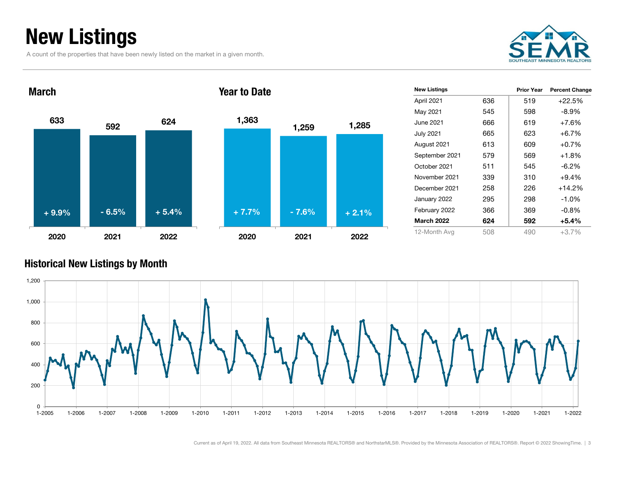# New Listings

March

A count of the properties that have been newly listed on the market in a given month.







Year to Date

|     | <b>Prior Year</b> | <b>Percent Change</b> |
|-----|-------------------|-----------------------|
| 636 | 519               | $+22.5%$              |
| 545 | 598               | -8.9%                 |
| 666 | 619               | +7.6%                 |
| 665 | 623               | $+6.7\%$              |
| 613 | 609               | +0.7%                 |
| 579 | 569               | +1.8%                 |
| 511 | 545               | -6.2%                 |
| 339 | 310               | $+9.4%$               |
| 258 | 226               | $+14.2%$              |
| 295 | 298               | $-1.0%$               |
| 366 | 369               | $-0.8\%$              |
| 624 | 592               | +5.4%                 |
| 508 | 490               | $+3.7%$               |
|     |                   |                       |

#### Historical New Listings by Month

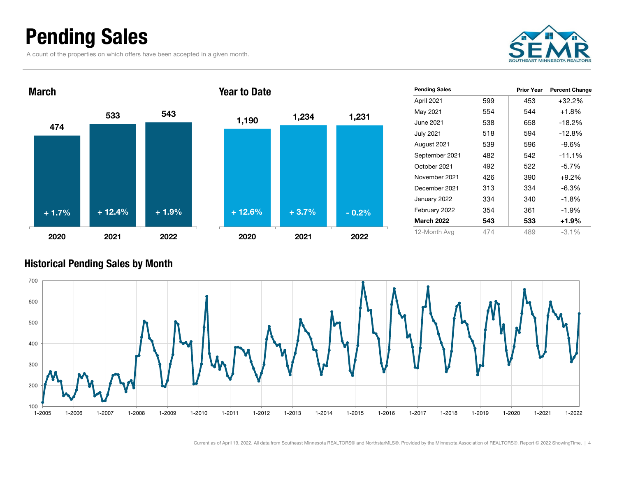### Pending Sales

A count of the properties on which offers have been accepted in a given month.







Year to Date

| <b>Pending Sales</b> |     | <b>Prior Year</b> | <b>Percent Change</b> |
|----------------------|-----|-------------------|-----------------------|
| April 2021           | 599 | 453               | $+32.2%$              |
| May 2021             | 554 | 544               | $+1.8%$               |
| June 2021            | 538 | 658               | $-18.2%$              |
| <b>July 2021</b>     | 518 | 594               | $-12.8%$              |
| August 2021          | 539 | 596               | $-9.6%$               |
| September 2021       | 482 | 542               | $-11.1%$              |
| October 2021         | 492 | 522               | $-5.7%$               |
| November 2021        | 426 | 390               | $+9.2\%$              |
| December 2021        | 313 | 334               | $-6.3\%$              |
| January 2022         | 334 | 340               | $-1.8%$               |
| February 2022        | 354 | 361               | $-1.9%$               |
| <b>March 2022</b>    | 543 | 533               | +1.9%                 |
| 12-Month Avg         | 474 | 489               | $-3.1\%$              |

#### Historical Pending Sales by Month

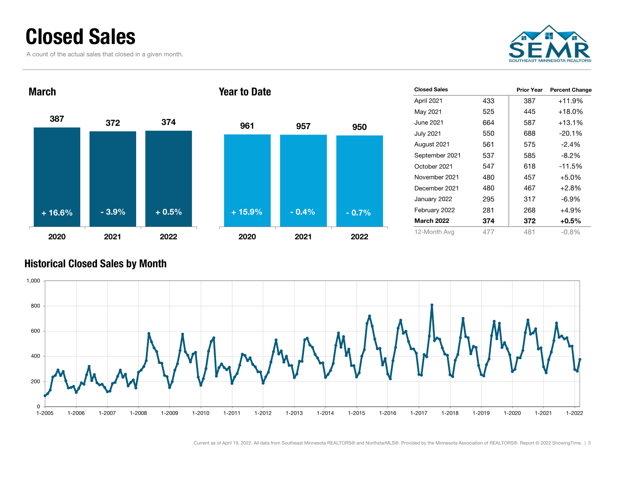### Closed Sales

A count of the actual sales that closed in a given month.







| <b>Closed Sales</b> |     | <b>Prior Year</b> | <b>Percent Change</b> |
|---------------------|-----|-------------------|-----------------------|
| April 2021          | 433 | 387               | $+11.9%$              |
| May 2021            | 525 | 445               | $+18.0\%$             |
| June 2021           | 664 | 587               | $+13.1%$              |
| <b>July 2021</b>    | 550 | 688               | $-20.1%$              |
| August 2021         | 561 | 575               | $-2.4%$               |
| September 2021      | 537 | 585               | $-8.2%$               |
| October 2021        | 547 | 618               | $-11.5%$              |
| November 2021       | 480 | 457               | $+5.0\%$              |
| December 2021       | 480 | 467               | $+2.8%$               |
| January 2022        | 295 | 317               | -6.9%                 |
| February 2022       | 281 | 268               | +4.9%                 |
| <b>March 2022</b>   | 374 | 372               | +0.5%                 |
| 12-Month Avg        | 477 | 481               | $-0.8%$               |

#### Historical Closed Sales by Month

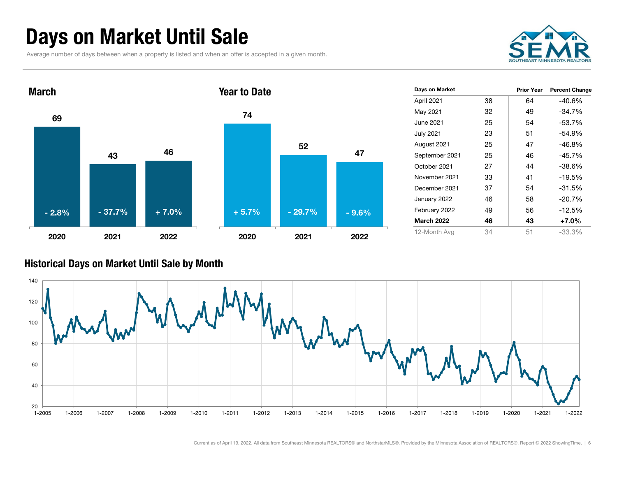# Days on Market Until Sale

Average number of days between when a property is listed and when an offer is accepted in a given month.





| Days on Market    |    | <b>Prior Year</b> | <b>Percent Change</b> |
|-------------------|----|-------------------|-----------------------|
| April 2021        | 38 | 64                | -40.6%                |
| May 2021          | 32 | 49                | -34.7%                |
| June 2021         | 25 | 54                | $-53.7%$              |
| <b>July 2021</b>  | 23 | 51                | $-54.9%$              |
| August 2021       | 25 | 47                | -46.8%                |
| September 2021    | 25 | 46                | $-45.7%$              |
| October 2021      | 27 | 44                | $-38.6%$              |
| November 2021     | 33 | 41                | $-19.5%$              |
| December 2021     | 37 | 54                | $-31.5%$              |
| January 2022      | 46 | 58                | $-20.7%$              |
| February 2022     | 49 | 56                | $-12.5%$              |
| <b>March 2022</b> | 46 | 43                | $+7.0%$               |
| 12-Month Avg      | 34 | 51                | -33.3%                |

#### Historical Days on Market Until Sale by Month

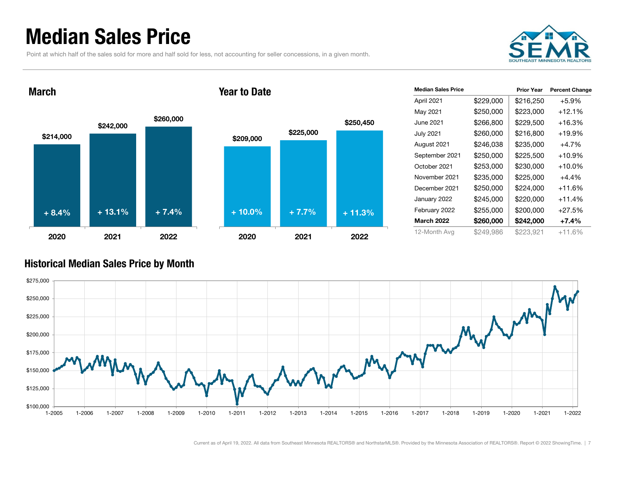### Median Sales Price

Point at which half of the sales sold for more and half sold for less, not accounting for seller concessions, in a given month.



March







| <b>Median Sales Price</b> |           | <b>Prior Year</b> | <b>Percent Change</b> |
|---------------------------|-----------|-------------------|-----------------------|
| April 2021                | \$229,000 | \$216,250         | +5.9%                 |
| May 2021                  | \$250,000 | \$223,000         | $+12.1%$              |
| June 2021                 | \$266,800 | \$229,500         | +16.3%                |
| <b>July 2021</b>          | \$260,000 | \$216,800         | $+19.9%$              |
| August 2021               | \$246,038 | \$235,000         | +4.7%                 |
| September 2021            | \$250,000 | \$225,500         | $+10.9%$              |
| October 2021              | \$253,000 | \$230,000         | $+10.0\%$             |
| November 2021             | \$235,000 | \$225,000         | $+4.4%$               |
| December 2021             | \$250,000 | \$224,000         | +11.6%                |
| January 2022              | \$245,000 | \$220,000         | $+11.4%$              |
| February 2022             | \$255,000 | \$200,000         | $+27.5%$              |
| <b>March 2022</b>         | \$260,000 | \$242,000         | +7.4%                 |
| 12-Month Avg              | \$249,986 | \$223,921         | $+11.6%$              |

#### Historical Median Sales Price by Month

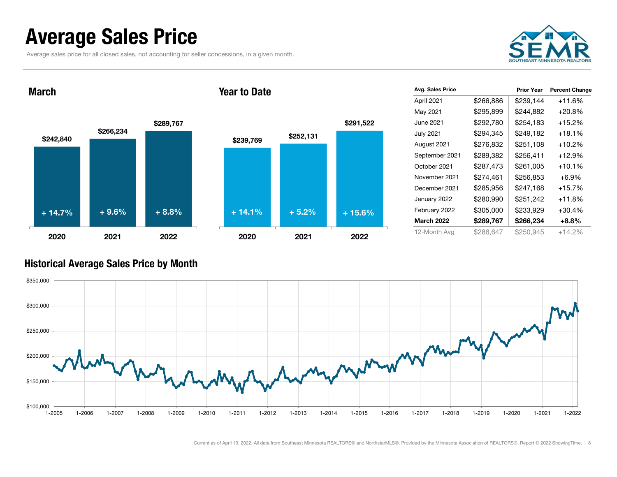### Average Sales Price

Average sales price for all closed sales, not accounting for seller concessions, in a given month.



March







| Avg. Sales Price  |           | <b>Prior Year</b> | <b>Percent Change</b> |
|-------------------|-----------|-------------------|-----------------------|
| April 2021        | \$266,886 | \$239,144         | +11.6%                |
| May 2021          | \$295,899 | \$244,882         | +20.8%                |
| June 2021         | \$292,780 | \$254.183         | +15.2%                |
| <b>July 2021</b>  | \$294,345 | \$249,182         | $+18.1%$              |
| August 2021       | \$276,832 | \$251,108         | $+10.2%$              |
| September 2021    | \$289,382 | \$256,411         | $+12.9%$              |
| October 2021      | \$287,473 | \$261,005         | $+10.1%$              |
| November 2021     | \$274.461 | \$256,853         | $+6.9\%$              |
| December 2021     | \$285,956 | \$247,168         | $+15.7%$              |
| January 2022      | \$280,990 | \$251,242         | +11.8%                |
| February 2022     | \$305,000 | \$233,929         | $+30.4%$              |
| <b>March 2022</b> | \$289,767 | \$266,234         | +8.8%                 |
| 12-Month Avg      | \$286,647 | \$250,945         | $+14.2%$              |

#### Historical Average Sales Price by Month

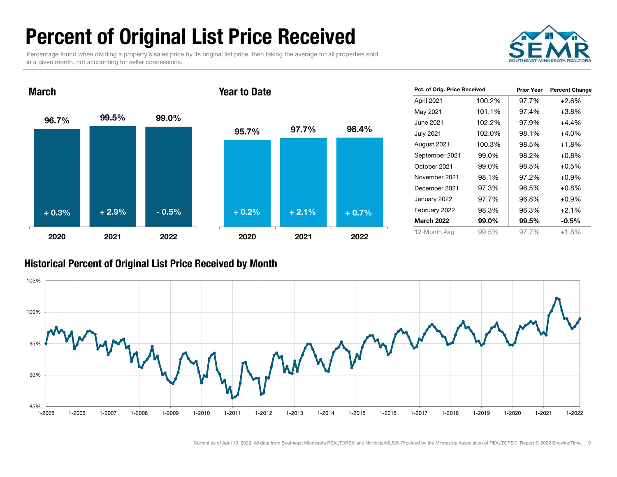# Percent of Original List Price Received

Percentage found when dividing a property's sales price by its original list price, then taking the average for all properties sold in a given month, not accounting for seller concessions.

Year to Date



96.7% 99.5% 99.0% 2020 2021 202295.7% 97.7% 98.4% 2020 2021 2022 + 0.3% $\%$  + 2.9% - 0.5% + 0.2% + 2.1% + 0.7%

| Pct. of Orig. Price Received |        | <b>Prior Year</b> | <b>Percent Change</b> |
|------------------------------|--------|-------------------|-----------------------|
| April 2021                   | 100.2% | 97.7%             | $+2.6\%$              |
| May 2021                     | 101.1% | 97.4%             | $+3.8%$               |
| June 2021                    | 102.2% | 97.9%             | $+4.4%$               |
| <b>July 2021</b>             | 102.0% | 98.1%             | $+4.0%$               |
| August 2021                  | 100.3% | 98.5%             | $+1.8%$               |
| September 2021               | 99.0%  | 98.2%             | $+0.8\%$              |
| October 2021                 | 99.0%  | 98.5%             | $+0.5%$               |
| November 2021                | 98.1%  | 97.2%             | $+0.9\%$              |
| December 2021                | 97.3%  | 96.5%             | $+0.8\%$              |
| January 2022                 | 97.7%  | 96.8%             | $+0.9\%$              |
| February 2022                | 98.3%  | 96.3%             | $+2.1%$               |
| <b>March 2022</b>            | 99.0%  | 99.5%             | $-0.5\%$              |
| 12-Month Ava                 | 99.5%  | 97.7%             | $+1.8\%$              |

#### Historical Percent of Original List Price Received by Month

March

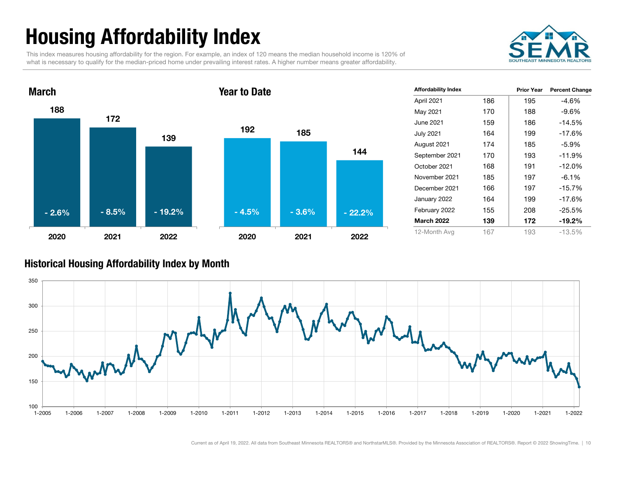# Housing Affordability Index

This index measures housing affordability for the region. For example, an index of 120 means the median household income is 120% of what is necessary to qualify for the median-priced home under prevailing interest rates. A higher number means greater affordability.





| <b>Affordability Index</b> |     | <b>Prior Year</b> | <b>Percent Change</b> |
|----------------------------|-----|-------------------|-----------------------|
| April 2021                 | 186 | 195               | -4.6%                 |
| May 2021                   | 170 | 188               | $-9.6%$               |
| June 2021                  | 159 | 186               | $-14.5%$              |
| <b>July 2021</b>           | 164 | 199               | $-17.6%$              |
| August 2021                | 174 | 185               | -5.9%                 |
| September 2021             | 170 | 193               | $-11.9%$              |
| October 2021               | 168 | 191               | $-12.0%$              |
| November 2021              | 185 | 197               | $-6.1%$               |
| December 2021              | 166 | 197               | $-15.7%$              |
| January 2022               | 164 | 199               | $-17.6%$              |
| February 2022              | 155 | 208               | $-25.5%$              |
| <b>March 2022</b>          | 139 | 172               | $-19.2\%$             |
| 12-Month Avg               | 167 | 193               | $-13.5%$              |

#### Historical Housing Affordability Index by Month

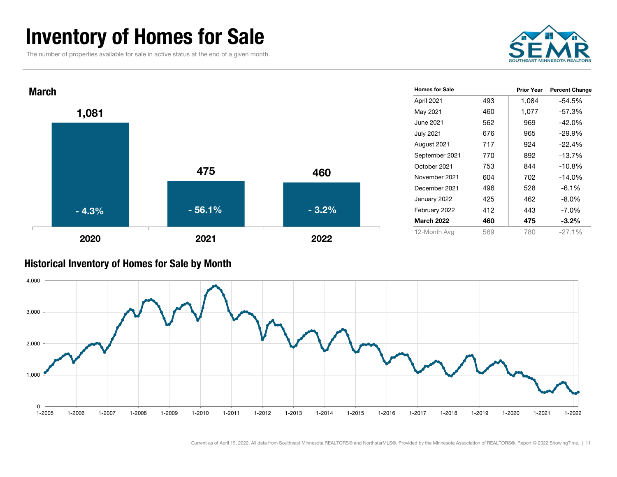### Inventory of Homes for Sale

The number of properties available for sale in active status at the end of a given month.





#### Historical Inventory of Homes for S ale by Mont h

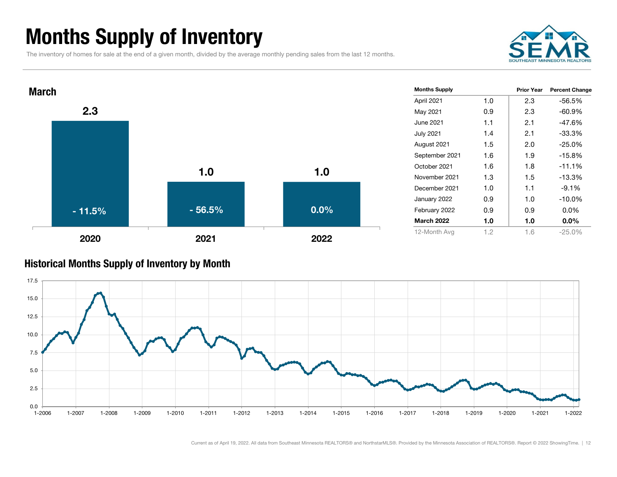# Months Supply of Inventory

The inventory of homes for sale at the end of a given month, divided by the average monthly pending sales from the last 12 months.





#### Historical Months Supply of Inventory by Month